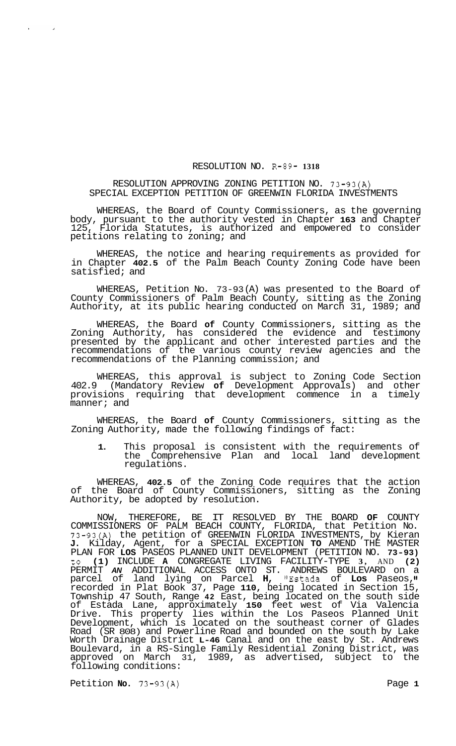## RESOLUTION NO. R-89- **1318**

## RESOLUTION APPROVING ZONING PETITION NO. 73-93(A) SPECIAL EXCEPTION PETITION OF GREENWIN FLORIDA INVESTMENTS

WHEREAS, the Board of County Commissioners, as the governing body, pursuant to the authority vested in Chapter **163** and Chapter Florida Statutes, is authorized and empowered to consider petitions relating to zoning; and

WHEREAS, the notice and hearing requirements as provided for in Chapter **402.5** of the Palm Beach County Zoning Code have been satisfied; and

WHEREAS, Petition No. 73-93 (A) was presented to the Board of County Commissioners of Palm Beach County, sitting as the Zoning Authority, at its public hearing conducted on March 31, 1989; and

WHEREAS, the Board **of** County Commissioners, sitting as the Zoning Authority, has considered the evidence and testimony presented by the applicant and other interested parties and the recommendations of the various county review agencies and the recommendations of the Planning commission; and

WHEREAS, this approval is subject to Zoning Code Section 402.9 (Mandatory Review **of** Development Approvals) and other provisions requiring that development commence in a timely manner; and

WHEREAS, the Board **of** County Commissioners, sitting as the Zoning Authority, made the following findings of fact:

**1.** This proposal is consistent with the requirements of the Comprehensive Plan and local land development regulations.

WHEREAS, **402.5** of the Zoning Code requires that the action of the Board of County Commissioners, sitting as the Zoning Authority, be adopted by resolution.

NOW, THEREFORE, BE IT RESOLVED BY THE BOARD **OF** COUNTY COMMISSIONERS OF PALM BEACH COUNTY, FLORIDA, that Petition No. 73-93(A) the petition of GREENWIN FLORIDA INVESTMENTS, by Kieran **J.** Kilday, Agent, for a SPECIAL EXCEPTION **TO** AMEND THE MASTER PLAN FOR **LOS** PASEOS PLANNED UNIT DEVELOPMENT (PETITION NO. **73-93)**  to **(1)** INCLUDE **A** CONGREGATE LIVING FACILITY-TYPE **3,** AND **(2)**  PERMIT *AN* ADDITIONAL ACCESS ONTO ST. ANDREWS BOULEVARD on a parcel of land lying on Parcel **H,** IIEstada of **Los** Paseos, recorded in Plat Book 37, Page **110,** being located in Section 15, Township 47 South, Range **42** East, being located on the south side of Estada Lane, approximately **150** feet west of Via Valencia Drive. This property lies within the Los Paseos Planned Unit Development, which is located on the southeast corner of Glades Road (SR 808) and Powerline Road and bounded on the south by Lake Worth Drainage District **L-46** Canal and on the east by St. Andrews Boulevard, in a RS-Single Family Residential Zoning District, was approved on March 31, 1989, as advertised, subject to the following conditions:

Petition **No.** 73-93(A) Petition **No.** 73-93(A)

 $\sim 10^7$ 

 $\Delta \sim$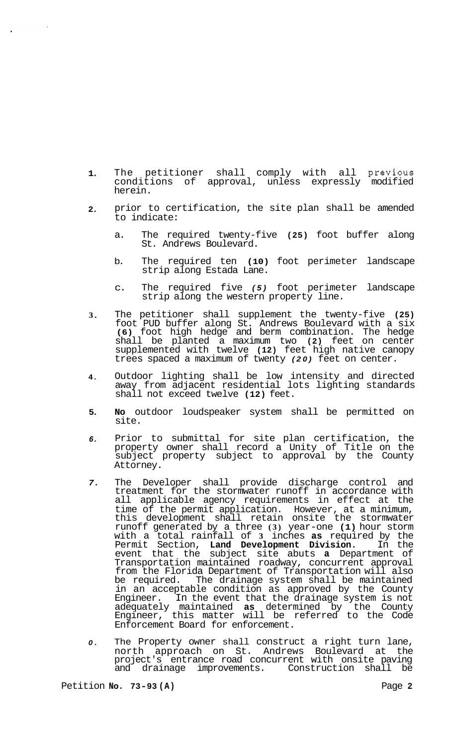- **1.**  The petitioner shall comply with all previous conditions of approval, unless expressly modified herein.
- **2.**  prior to certification, the site plan shall be amended to indicate:
	- a. The required twenty-five **(25)** foot buffer along St. Andrews Boulevard.
	- b. The required ten **(10)** foot perimeter landscape strip along Estada Lane.
	- c. The required five *(5)* foot perimeter landscape strip along the western property line.
- **3.**  The petitioner shall supplement the twenty-five **(25)**  foot PUD buffer along St. Andrews Boulevard with a six **(6)** foot high hedge and berm combination. The hedge shall be planted a maximum two **(2)** feet on center supplemented with twelve **(12)** feet high native canopy trees spaced a maximum of twenty (20) feet on center.
- **4.**  Outdoor lighting shall be low intensity and directed away from adjacent residential lots lighting standards shall not exceed twelve **(12)** feet.
- **5. No** outdoor loudspeaker system shall be permitted on site.
- *6.*  Prior to submittal for site plan certification, the property owner shall record a Unity of Title on the subject property subject to approval by the County Attorney.
- *7.*  The Developer shall provide discharge control and treatment for the stormwater runoff in accordance with all applicable agency requirements in effect at the time of the permit application. However, at a minimum, this development shall retain onsite the stormwater runoff generated by a three **(3)** year-one **(1)** hour storm with a total rainfall of **3** inches **as** required by the Permit Section, **Land Development Division.** In the event that the subject site abuts **a** Department of Transportation maintained roadway, concurrent approval from the Florida Department of Transportation will also be required. The drainage system shall be maintained in an acceptable condition as approved by the County Engineer. In the event that the drainage system is not adequately maintained **as** determined by the County Engineer, this matter will be referred to the Code Enforcement Board for enforcement.
- *0.*  The Property owner shall construct a right turn lane, north approach on St. Andrews Boulevard at the project's entrance road concurrent with onsite paving and drainage improvements. Construction shall be

 $\sim 10$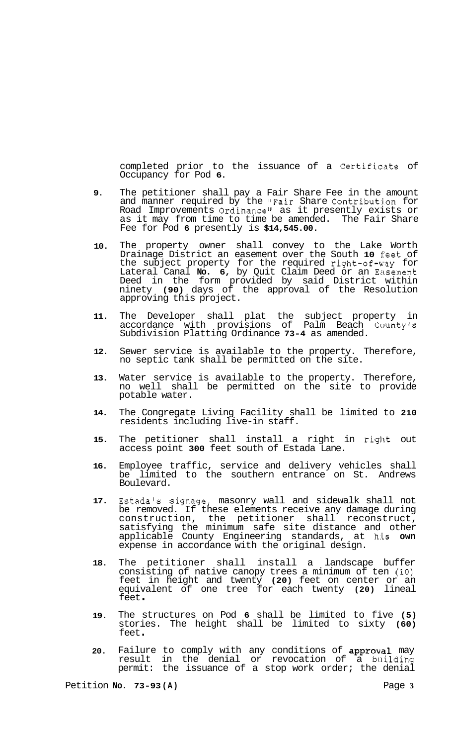completed prior to the issuance of a Certificate of Occupancy for Pod **6.** 

- **9.**  The petitioner shall pay a Fair Share Fee in the amount and manner required by the "Fair Share Contribution for Road Improvements Ordinance" as it presently exists or as it may from time to time be amended. The Fair Share Fee for Pod **6** presently is **\$14,545.00.**
- **10.**  The property owner shall convey to the Lake Worth Drainage District an easement over the South **10** feet of the subject property for the required right-of-way for Lateral Canal **No. 6,** by Quit Claim Deed or an Easement Deed in the form provided by said District within ninety **(90)** days of the approval of the Resolution approving this project.
- **11.**  The Developer shall plat the subject property in accordance with provisions of Palm Beach Countyls Subdivision Platting Ordinance **73-4** as amended.
- **12.**  Sewer service is available to the property. Therefore, no septic tank shall be permitted on the site.
- **13.**  Water service is available to the property. Therefore, no well shall be permitted on the site to provide potable water.
- **14.**  The Congregate Living Facility shall be limited to **210**  residents including live-in staff.
- **15.**  The petitioner shall install a right in right out access point **300** feet south of Estada Lane.
- **16.**  Employee traffic, service and delivery vehicles shall be limited to the southern entrance on St. Andrews Boulevard.
- **17.**  Estada's signage, masonry wall and sidewalk shall not be removed. If these elements receive any damage during construction, the petitioner shall reconstruct, satisfying the minimum safe site distance and other applicable County Engineering standards, at h.is **own**  expense in accordance with the original design.
- **18.**  The petitioner shall install a landscape buffer consisting of native canopy trees a minimum of ten **(10)**  feet in height and twenty **(20)** feet on center or an equivalent of one tree for each twenty **(20)** lineal feet .
- **19.**  The structures on Pod **6** shall be limited to five **(5)**  stories. The height shall be limited to sixty **(60)**  feet .
- **20.**  Failure to comply with any conditions of approval may result in the denial or revocation of a building permit: the issuance of a stop work order; the denial